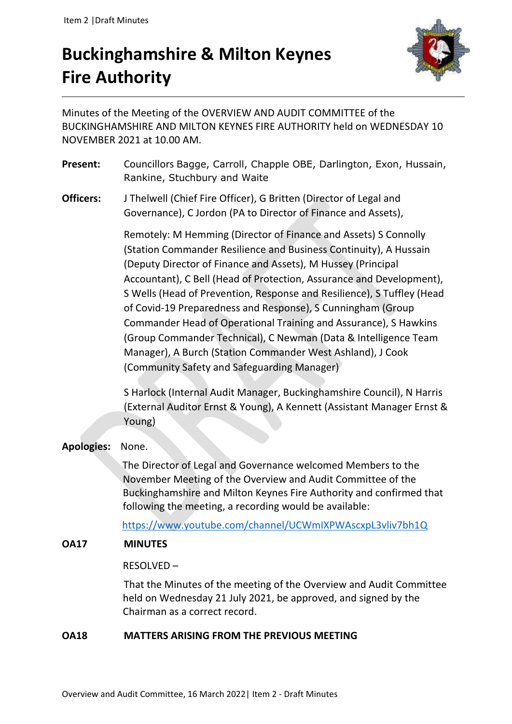# **Buckinghamshire & Milton Keynes Fire Authority**



Minutes of the Meeting of the OVERVIEW AND AUDIT COMMITTEE of the BUCKINGHAMSHIRE AND MILTON KEYNES FIRE AUTHORITY held on WEDNESDAY 10 NOVEMBER 2021 at 10.00 AM.

- **Present:** Councillors Bagge, Carroll, Chapple OBE, Darlington, Exon, Hussain, Rankine, Stuchbury and Waite
- **Officers:** J Thelwell (Chief Fire Officer), G Britten (Director of Legal and Governance), C Jordon (PA to Director of Finance and Assets),

Remotely: M Hemming (Director of Finance and Assets) S Connolly (Station Commander Resilience and Business Continuity), A Hussain (Deputy Director of Finance and Assets), M Hussey (Principal Accountant), C Bell (Head of Protection, Assurance and Development), S Wells (Head of Prevention, Response and Resilience), S Tuffley (Head of Covid-19 Preparedness and Response), S Cunningham (Group Commander Head of Operational Training and Assurance), S Hawkins (Group Commander Technical), C Newman (Data & Intelligence Team Manager), A Burch (Station Commander West Ashland), J Cook (Community Safety and Safeguarding Manager)

S Harlock (Internal Audit Manager, Buckinghamshire Council), N Harris (External Auditor Ernst & Young), A Kennett (Assistant Manager Ernst & Young)

# **Apologies:** None.

 The Director of Legal and Governance welcomed Members to the November Meeting of the Overview and Audit Committee of the Buckinghamshire and Milton Keynes Fire Authority and confirmed that following the meeting, a recording would be available:

<https://www.youtube.com/channel/UCWmIXPWAscxpL3vliv7bh1Q>

# **OA17 MINUTES**

# RESOLVED –

That the Minutes of the meeting of the Overview and Audit Committee held on Wednesday 21 July 2021, be approved, and signed by the Chairman as a correct record.

# **OA18 MATTERS ARISING FROM THE PREVIOUS MEETING**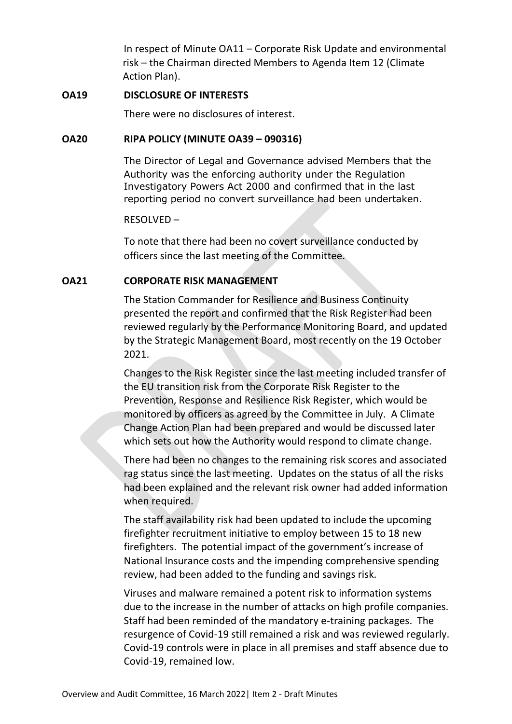In respect of Minute OA11 – Corporate Risk Update and environmental risk – the Chairman directed Members to Agenda Item 12 (Climate Action Plan).

#### **OA19 DISCLOSURE OF INTERESTS**

There were no disclosures of interest.

# **OA20 RIPA POLICY (MINUTE OA39 – 090316)**

The Director of Legal and Governance advised Members that the Authority was the enforcing authority under the Regulation Investigatory Powers Act 2000 and confirmed that in the last reporting period no convert surveillance had been undertaken.

## RESOLVED –

To note that there had been no covert surveillance conducted by officers since the last meeting of the Committee.

# **OA21 CORPORATE RISK MANAGEMENT**

The Station Commander for Resilience and Business Continuity presented the report and confirmed that the Risk Register had been reviewed regularly by the Performance Monitoring Board, and updated by the Strategic Management Board, most recently on the 19 October 2021.

Changes to the Risk Register since the last meeting included transfer of the EU transition risk from the Corporate Risk Register to the Prevention, Response and Resilience Risk Register, which would be monitored by officers as agreed by the Committee in July. A Climate Change Action Plan had been prepared and would be discussed later which sets out how the Authority would respond to climate change.

There had been no changes to the remaining risk scores and associated rag status since the last meeting. Updates on the status of all the risks had been explained and the relevant risk owner had added information when required.

The staff availability risk had been updated to include the upcoming firefighter recruitment initiative to employ between 15 to 18 new firefighters. The potential impact of the government's increase of National Insurance costs and the impending comprehensive spending review, had been added to the funding and savings risk.

Viruses and malware remained a potent risk to information systems due to the increase in the number of attacks on high profile companies. Staff had been reminded of the mandatory e-training packages. The resurgence of Covid-19 still remained a risk and was reviewed regularly. Covid-19 controls were in place in all premises and staff absence due to Covid-19, remained low.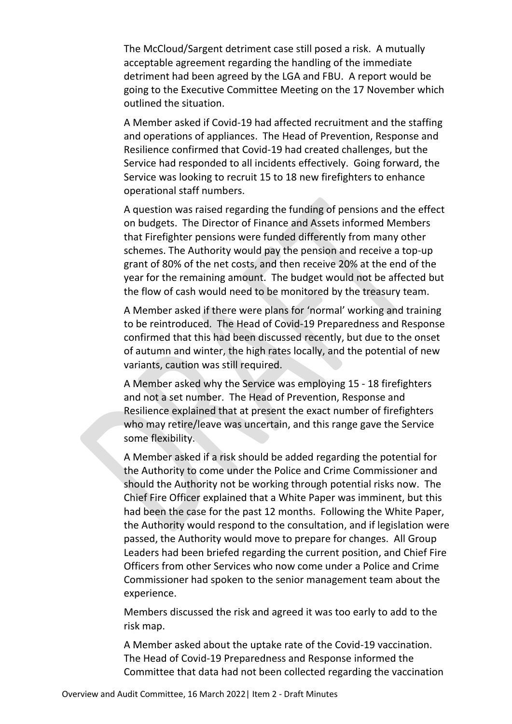The McCloud/Sargent detriment case still posed a risk. A mutually acceptable agreement regarding the handling of the immediate detriment had been agreed by the LGA and FBU. A report would be going to the Executive Committee Meeting on the 17 November which outlined the situation.

A Member asked if Covid-19 had affected recruitment and the staffing and operations of appliances. The Head of Prevention, Response and Resilience confirmed that Covid-19 had created challenges, but the Service had responded to all incidents effectively. Going forward, the Service was looking to recruit 15 to 18 new firefighters to enhance operational staff numbers.

A question was raised regarding the funding of pensions and the effect on budgets. The Director of Finance and Assets informed Members that Firefighter pensions were funded differently from many other schemes. The Authority would pay the pension and receive a top-up grant of 80% of the net costs, and then receive 20% at the end of the year for the remaining amount. The budget would not be affected but the flow of cash would need to be monitored by the treasury team.

A Member asked if there were plans for 'normal' working and training to be reintroduced. The Head of Covid-19 Preparedness and Response confirmed that this had been discussed recently, but due to the onset of autumn and winter, the high rates locally, and the potential of new variants, caution was still required.

A Member asked why the Service was employing 15 - 18 firefighters and not a set number. The Head of Prevention, Response and Resilience explained that at present the exact number of firefighters who may retire/leave was uncertain, and this range gave the Service some flexibility.

A Member asked if a risk should be added regarding the potential for the Authority to come under the Police and Crime Commissioner and should the Authority not be working through potential risks now. The Chief Fire Officer explained that a White Paper was imminent, but this had been the case for the past 12 months. Following the White Paper, the Authority would respond to the consultation, and if legislation were passed, the Authority would move to prepare for changes. All Group Leaders had been briefed regarding the current position, and Chief Fire Officers from other Services who now come under a Police and Crime Commissioner had spoken to the senior management team about the experience.

Members discussed the risk and agreed it was too early to add to the risk map.

A Member asked about the uptake rate of the Covid-19 vaccination. The Head of Covid-19 Preparedness and Response informed the Committee that data had not been collected regarding the vaccination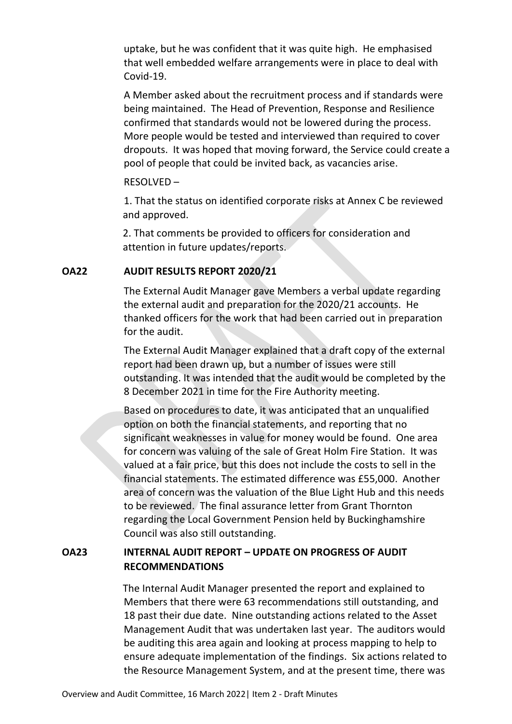uptake, but he was confident that it was quite high. He emphasised that well embedded welfare arrangements were in place to deal with Covid-19.

A Member asked about the recruitment process and if standards were being maintained. The Head of Prevention, Response and Resilience confirmed that standards would not be lowered during the process. More people would be tested and interviewed than required to cover dropouts. It was hoped that moving forward, the Service could create a pool of people that could be invited back, as vacancies arise.

#### RESOLVED –

1. That the status on identified corporate risks at Annex C be reviewed and approved.

2. That comments be provided to officers for consideration and attention in future updates/reports.

#### **OA22 AUDIT RESULTS REPORT 2020/21**

The External Audit Manager gave Members a verbal update regarding the external audit and preparation for the 2020/21 accounts. He thanked officers for the work that had been carried out in preparation for the audit.

The External Audit Manager explained that a draft copy of the external report had been drawn up, but a number of issues were still outstanding. It was intended that the audit would be completed by the 8 December 2021 in time for the Fire Authority meeting.

Based on procedures to date, it was anticipated that an unqualified option on both the financial statements, and reporting that no significant weaknesses in value for money would be found. One area for concern was valuing of the sale of Great Holm Fire Station. It was valued at a fair price, but this does not include the costs to sell in the financial statements. The estimated difference was £55,000. Another area of concern was the valuation of the Blue Light Hub and this needs to be reviewed. The final assurance letter from Grant Thornton regarding the Local Government Pension held by Buckinghamshire Council was also still outstanding.

# **OA23 INTERNAL AUDIT REPORT – UPDATE ON PROGRESS OF AUDIT RECOMMENDATIONS**

The Internal Audit Manager presented the report and explained to Members that there were 63 recommendations still outstanding, and 18 past their due date. Nine outstanding actions related to the Asset Management Audit that was undertaken last year. The auditors would be auditing this area again and looking at process mapping to help to ensure adequate implementation of the findings. Six actions related to the Resource Management System, and at the present time, there was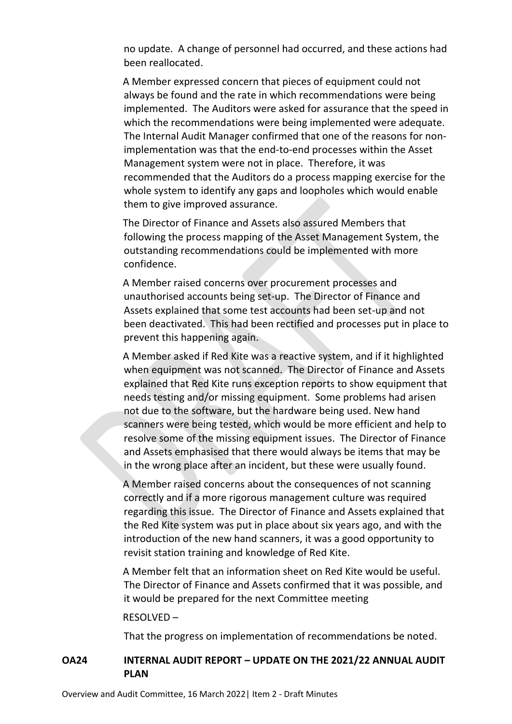no update. A change of personnel had occurred, and these actions had been reallocated.

A Member expressed concern that pieces of equipment could not always be found and the rate in which recommendations were being implemented. The Auditors were asked for assurance that the speed in which the recommendations were being implemented were adequate. The Internal Audit Manager confirmed that one of the reasons for nonimplementation was that the end-to-end processes within the Asset Management system were not in place. Therefore, it was recommended that the Auditors do a process mapping exercise for the whole system to identify any gaps and loopholes which would enable them to give improved assurance.

The Director of Finance and Assets also assured Members that following the process mapping of the Asset Management System, the outstanding recommendations could be implemented with more confidence.

A Member raised concerns over procurement processes and unauthorised accounts being set-up. The Director of Finance and Assets explained that some test accounts had been set-up and not been deactivated. This had been rectified and processes put in place to prevent this happening again.

A Member asked if Red Kite was a reactive system, and if it highlighted when equipment was not scanned. The Director of Finance and Assets explained that Red Kite runs exception reports to show equipment that needs testing and/or missing equipment. Some problems had arisen not due to the software, but the hardware being used. New hand scanners were being tested, which would be more efficient and help to resolve some of the missing equipment issues. The Director of Finance and Assets emphasised that there would always be items that may be in the wrong place after an incident, but these were usually found.

A Member raised concerns about the consequences of not scanning correctly and if a more rigorous management culture was required regarding this issue. The Director of Finance and Assets explained that the Red Kite system was put in place about six years ago, and with the introduction of the new hand scanners, it was a good opportunity to revisit station training and knowledge of Red Kite.

A Member felt that an information sheet on Red Kite would be useful. The Director of Finance and Assets confirmed that it was possible, and it would be prepared for the next Committee meeting

#### RESOLVED –

That the progress on implementation of recommendations be noted.

# **OA24 INTERNAL AUDIT REPORT – UPDATE ON THE 2021/22 ANNUAL AUDIT PLAN**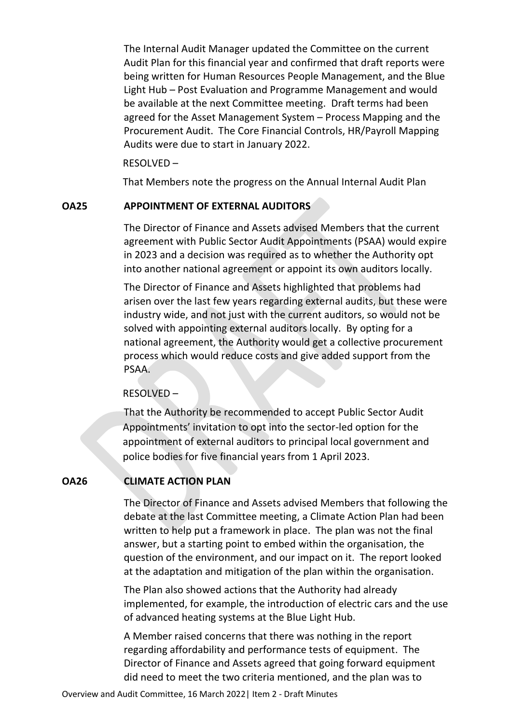The Internal Audit Manager updated the Committee on the current Audit Plan for this financial year and confirmed that draft reports were being written for Human Resources People Management, and the Blue Light Hub – Post Evaluation and Programme Management and would be available at the next Committee meeting. Draft terms had been agreed for the Asset Management System – Process Mapping and the Procurement Audit. The Core Financial Controls, HR/Payroll Mapping Audits were due to start in January 2022.

RESOLVED –

That Members note the progress on the Annual Internal Audit Plan

# **OA25 APPOINTMENT OF EXTERNAL AUDITORS**

The Director of Finance and Assets advised Members that the current agreement with Public Sector Audit Appointments (PSAA) would expire in 2023 and a decision was required as to whether the Authority opt into another national agreement or appoint its own auditors locally.

The Director of Finance and Assets highlighted that problems had arisen over the last few years regarding external audits, but these were industry wide, and not just with the current auditors, so would not be solved with appointing external auditors locally. By opting for a national agreement, the Authority would get a collective procurement process which would reduce costs and give added support from the PSAA.

# RESOLVED –

That the Authority be recommended to accept Public Sector Audit Appointments' invitation to opt into the sector-led option for the appointment of external auditors to principal local government and police bodies for five financial years from 1 April 2023.

# **OA26 CLIMATE ACTION PLAN**

The Director of Finance and Assets advised Members that following the debate at the last Committee meeting, a Climate Action Plan had been written to help put a framework in place. The plan was not the final answer, but a starting point to embed within the organisation, the question of the environment, and our impact on it. The report looked at the adaptation and mitigation of the plan within the organisation.

The Plan also showed actions that the Authority had already implemented, for example, the introduction of electric cars and the use of advanced heating systems at the Blue Light Hub.

A Member raised concerns that there was nothing in the report regarding affordability and performance tests of equipment. The Director of Finance and Assets agreed that going forward equipment did need to meet the two criteria mentioned, and the plan was to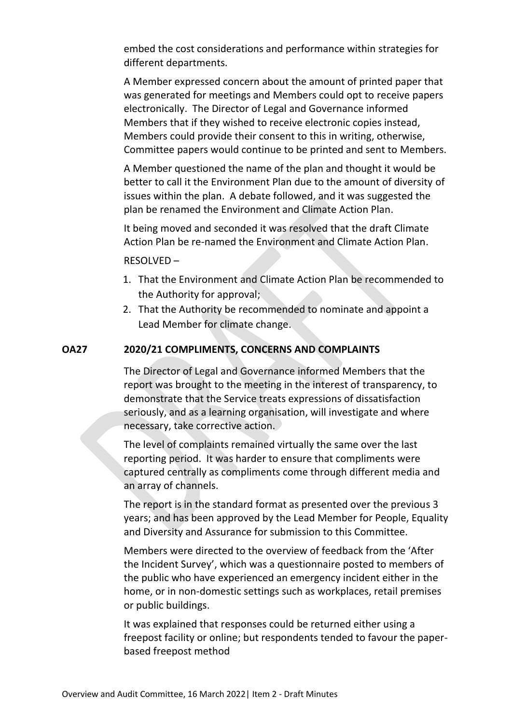embed the cost considerations and performance within strategies for different departments.

A Member expressed concern about the amount of printed paper that was generated for meetings and Members could opt to receive papers electronically. The Director of Legal and Governance informed Members that if they wished to receive electronic copies instead, Members could provide their consent to this in writing, otherwise, Committee papers would continue to be printed and sent to Members.

A Member questioned the name of the plan and thought it would be better to call it the Environment Plan due to the amount of diversity of issues within the plan. A debate followed, and it was suggested the plan be renamed the Environment and Climate Action Plan.

It being moved and seconded it was resolved that the draft Climate Action Plan be re-named the Environment and Climate Action Plan.

#### RESOLVED –

- 1. That the Environment and Climate Action Plan be recommended to the Authority for approval;
- 2. That the Authority be recommended to nominate and appoint a Lead Member for climate change.

# **OA27 2020/21 COMPLIMENTS, CONCERNS AND COMPLAINTS**

The Director of Legal and Governance informed Members that the report was brought to the meeting in the interest of transparency, to demonstrate that the Service treats expressions of dissatisfaction seriously, and as a learning organisation, will investigate and where necessary, take corrective action.

The level of complaints remained virtually the same over the last reporting period. It was harder to ensure that compliments were captured centrally as compliments come through different media and an array of channels.

The report is in the standard format as presented over the previous 3 years; and has been approved by the Lead Member for People, Equality and Diversity and Assurance for submission to this Committee.

Members were directed to the overview of feedback from the 'After the Incident Survey', which was a questionnaire posted to members of the public who have experienced an emergency incident either in the home, or in non-domestic settings such as workplaces, retail premises or public buildings.

It was explained that responses could be returned either using a freepost facility or online; but respondents tended to favour the paperbased freepost method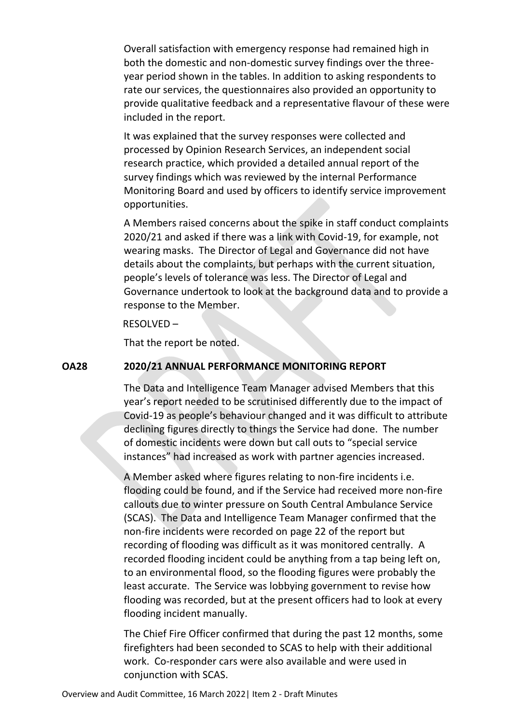Overall satisfaction with emergency response had remained high in both the domestic and non-domestic survey findings over the threeyear period shown in the tables. In addition to asking respondents to rate our services, the questionnaires also provided an opportunity to provide qualitative feedback and a representative flavour of these were included in the report.

It was explained that the survey responses were collected and processed by Opinion Research Services, an independent social research practice, which provided a detailed annual report of the survey findings which was reviewed by the internal Performance Monitoring Board and used by officers to identify service improvement opportunities.

A Members raised concerns about the spike in staff conduct complaints 2020/21 and asked if there was a link with Covid-19, for example, not wearing masks. The Director of Legal and Governance did not have details about the complaints, but perhaps with the current situation, people's levels of tolerance was less. The Director of Legal and Governance undertook to look at the background data and to provide a response to the Member.

RESOLVED –

That the report be noted.

#### **OA28 2020/21 ANNUAL PERFORMANCE MONITORING REPORT**

The Data and Intelligence Team Manager advised Members that this year's report needed to be scrutinised differently due to the impact of Covid-19 as people's behaviour changed and it was difficult to attribute declining figures directly to things the Service had done. The number of domestic incidents were down but call outs to "special service instances" had increased as work with partner agencies increased.

A Member asked where figures relating to non-fire incidents i.e. flooding could be found, and if the Service had received more non-fire callouts due to winter pressure on South Central Ambulance Service (SCAS). The Data and Intelligence Team Manager confirmed that the non-fire incidents were recorded on page 22 of the report but recording of flooding was difficult as it was monitored centrally. A recorded flooding incident could be anything from a tap being left on, to an environmental flood, so the flooding figures were probably the least accurate. The Service was lobbying government to revise how flooding was recorded, but at the present officers had to look at every flooding incident manually.

The Chief Fire Officer confirmed that during the past 12 months, some firefighters had been seconded to SCAS to help with their additional work. Co-responder cars were also available and were used in conjunction with SCAS.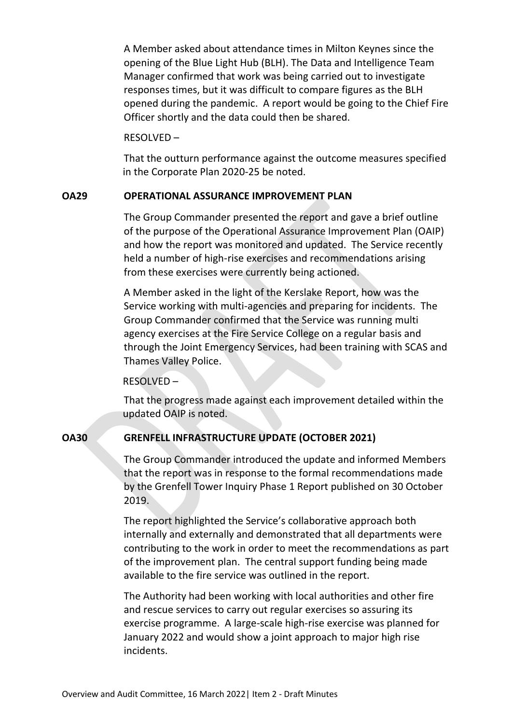A Member asked about attendance times in Milton Keynes since the opening of the Blue Light Hub (BLH). The Data and Intelligence Team Manager confirmed that work was being carried out to investigate responses times, but it was difficult to compare figures as the BLH opened during the pandemic. A report would be going to the Chief Fire Officer shortly and the data could then be shared.

#### RESOLVED –

That the outturn performance against the outcome measures specified in the Corporate Plan 2020-25 be noted.

#### **OA29 OPERATIONAL ASSURANCE IMPROVEMENT PLAN**

The Group Commander presented the report and gave a brief outline of the purpose of the Operational Assurance Improvement Plan (OAIP) and how the report was monitored and updated. The Service recently held a number of high-rise exercises and recommendations arising from these exercises were currently being actioned.

A Member asked in the light of the Kerslake Report, how was the Service working with multi-agencies and preparing for incidents. The Group Commander confirmed that the Service was running multi agency exercises at the Fire Service College on a regular basis and through the Joint Emergency Services, had been training with SCAS and Thames Valley Police.

#### RESOLVED –

That the progress made against each improvement detailed within the updated OAIP is noted.

#### **OA30 GRENFELL INFRASTRUCTURE UPDATE (OCTOBER 2021)**

The Group Commander introduced the update and informed Members that the report was in response to the formal recommendations made by the Grenfell Tower Inquiry Phase 1 Report published on 30 October 2019.

The report highlighted the Service's collaborative approach both internally and externally and demonstrated that all departments were contributing to the work in order to meet the recommendations as part of the improvement plan. The central support funding being made available to the fire service was outlined in the report.

The Authority had been working with local authorities and other fire and rescue services to carry out regular exercises so assuring its exercise programme. A large-scale high-rise exercise was planned for January 2022 and would show a joint approach to major high rise incidents.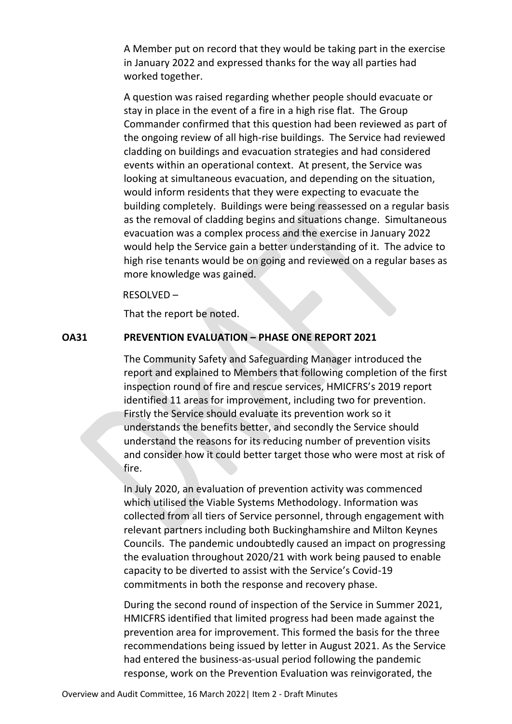A Member put on record that they would be taking part in the exercise in January 2022 and expressed thanks for the way all parties had worked together.

A question was raised regarding whether people should evacuate or stay in place in the event of a fire in a high rise flat. The Group Commander confirmed that this question had been reviewed as part of the ongoing review of all high-rise buildings. The Service had reviewed cladding on buildings and evacuation strategies and had considered events within an operational context. At present, the Service was looking at simultaneous evacuation, and depending on the situation, would inform residents that they were expecting to evacuate the building completely. Buildings were being reassessed on a regular basis as the removal of cladding begins and situations change. Simultaneous evacuation was a complex process and the exercise in January 2022 would help the Service gain a better understanding of it. The advice to high rise tenants would be on going and reviewed on a regular bases as more knowledge was gained.

#### RESOLVED –

That the report be noted.

#### **OA31 PREVENTION EVALUATION – PHASE ONE REPORT 2021**

The Community Safety and Safeguarding Manager introduced the report and explained to Members that following completion of the first inspection round of fire and rescue services, HMICFRS's 2019 report identified 11 areas for improvement, including two for prevention. Firstly the Service should evaluate its prevention work so it understands the benefits better, and secondly the Service should understand the reasons for its reducing number of prevention visits and consider how it could better target those who were most at risk of fire.

In July 2020, an evaluation of prevention activity was commenced which utilised the Viable Systems Methodology. Information was collected from all tiers of Service personnel, through engagement with relevant partners including both Buckinghamshire and Milton Keynes Councils. The pandemic undoubtedly caused an impact on progressing the evaluation throughout 2020/21 with work being paused to enable capacity to be diverted to assist with the Service's Covid-19 commitments in both the response and recovery phase.

During the second round of inspection of the Service in Summer 2021, HMICFRS identified that limited progress had been made against the prevention area for improvement. This formed the basis for the three recommendations being issued by letter in August 2021. As the Service had entered the business-as-usual period following the pandemic response, work on the Prevention Evaluation was reinvigorated, the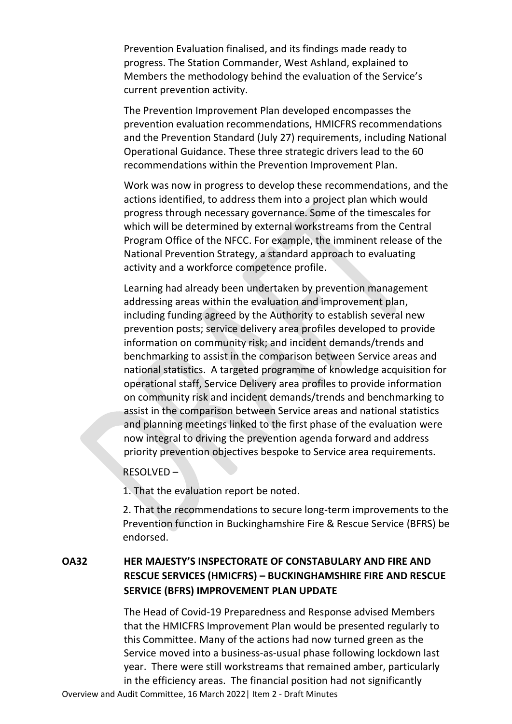Prevention Evaluation finalised, and its findings made ready to progress. The Station Commander, West Ashland, explained to Members the methodology behind the evaluation of the Service's current prevention activity.

The Prevention Improvement Plan developed encompasses the prevention evaluation recommendations, HMICFRS recommendations and the Prevention Standard (July 27) requirements, including National Operational Guidance. These three strategic drivers lead to the 60 recommendations within the Prevention Improvement Plan.

Work was now in progress to develop these recommendations, and the actions identified, to address them into a project plan which would progress through necessary governance. Some of the timescales for which will be determined by external workstreams from the Central Program Office of the NFCC. For example, the imminent release of the National Prevention Strategy, a standard approach to evaluating activity and a workforce competence profile.

Learning had already been undertaken by prevention management addressing areas within the evaluation and improvement plan, including funding agreed by the Authority to establish several new prevention posts; service delivery area profiles developed to provide information on community risk; and incident demands/trends and benchmarking to assist in the comparison between Service areas and national statistics. A targeted programme of knowledge acquisition for operational staff, Service Delivery area profiles to provide information on community risk and incident demands/trends and benchmarking to assist in the comparison between Service areas and national statistics and planning meetings linked to the first phase of the evaluation were now integral to driving the prevention agenda forward and address priority prevention objectives bespoke to Service area requirements.

#### RESOLVED –

1. That the evaluation report be noted.

2. That the recommendations to secure long-term improvements to the Prevention function in Buckinghamshire Fire & Rescue Service (BFRS) be endorsed.

# **OA32 HER MAJESTY'S INSPECTORATE OF CONSTABULARY AND FIRE AND RESCUE SERVICES (HMICFRS) – BUCKINGHAMSHIRE FIRE AND RESCUE SERVICE (BFRS) IMPROVEMENT PLAN UPDATE**

Overview and Audit Committee, 16 March 2022| Item 2 - Draft Minutes The Head of Covid-19 Preparedness and Response advised Members that the HMICFRS Improvement Plan would be presented regularly to this Committee. Many of the actions had now turned green as the Service moved into a business-as-usual phase following lockdown last year. There were still workstreams that remained amber, particularly in the efficiency areas. The financial position had not significantly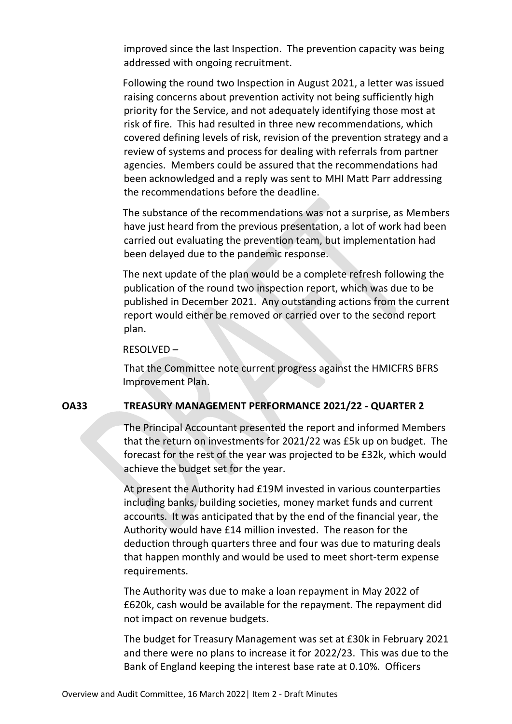improved since the last Inspection. The prevention capacity was being addressed with ongoing recruitment.

Following the round two Inspection in August 2021, a letter was issued raising concerns about prevention activity not being sufficiently high priority for the Service, and not adequately identifying those most at risk of fire. This had resulted in three new recommendations, which covered defining levels of risk, revision of the prevention strategy and a review of systems and process for dealing with referrals from partner agencies. Members could be assured that the recommendations had been acknowledged and a reply was sent to MHI Matt Parr addressing the recommendations before the deadline.

The substance of the recommendations was not a surprise, as Members have just heard from the previous presentation, a lot of work had been carried out evaluating the prevention team, but implementation had been delayed due to the pandemic response.

The next update of the plan would be a complete refresh following the publication of the round two inspection report, which was due to be published in December 2021. Any outstanding actions from the current report would either be removed or carried over to the second report plan.

#### RESOLVED –

That the Committee note current progress against the HMICFRS BFRS Improvement Plan.

# **OA33 TREASURY MANAGEMENT PERFORMANCE 2021/22 - QUARTER 2**

The Principal Accountant presented the report and informed Members that the return on investments for 2021/22 was £5k up on budget. The forecast for the rest of the year was projected to be £32k, which would achieve the budget set for the year.

At present the Authority had £19M invested in various counterparties including banks, building societies, money market funds and current accounts. It was anticipated that by the end of the financial year, the Authority would have £14 million invested. The reason for the deduction through quarters three and four was due to maturing deals that happen monthly and would be used to meet short-term expense requirements.

The Authority was due to make a loan repayment in May 2022 of £620k, cash would be available for the repayment. The repayment did not impact on revenue budgets.

The budget for Treasury Management was set at £30k in February 2021 and there were no plans to increase it for 2022/23. This was due to the Bank of England keeping the interest base rate at 0.10%. Officers